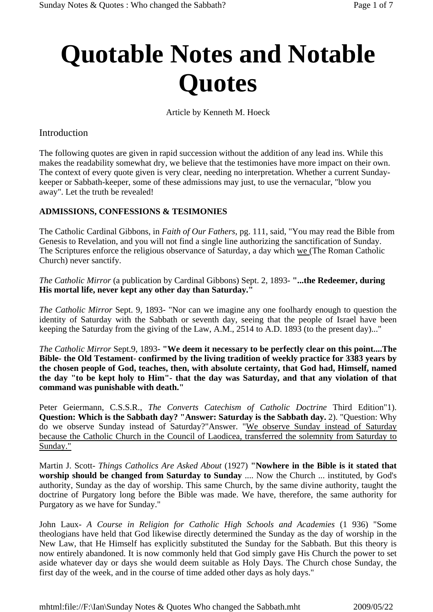# **Quotable Notes and Notable Quotes**

Article by Kenneth M. Hoeck

## Introduction

The following quotes are given in rapid succession without the addition of any lead ins. While this makes the readability somewhat dry, we believe that the testimonies have more impact on their own. The context of every quote given is very clear, needing no interpretation. Whether a current Sundaykeeper or Sabbath-keeper, some of these admissions may just, to use the vernacular, "blow you away". Let the truth be revealed!

## **ADMISSIONS, CONFESSIONS & TESIMONIES**

The Catholic Cardinal Gibbons, in *Faith of Our Fathers*, pg. 111, said, "You may read the Bible from Genesis to Revelation, and you will not find a single line authorizing the sanctification of Sunday. The Scriptures enforce the religious observance of Saturday, a day which we (The Roman Catholic Church) never sanctify.

*The Catholic Mirror* (a publication by Cardinal Gibbons) Sept. 2, 1893- **"...the Redeemer, during His mortal life, never kept any other day than Saturday."**

*The Catholic Mirror* Sept. 9, 1893- "Nor can we imagine any one foolhardy enough to question the identity of Saturday with the Sabbath or seventh day, seeing that the people of Israel have been keeping the Saturday from the giving of the Law, A.M., 2514 to A.D. 1893 (to the present day)..."

*The Catholic Mirror* Sept.9, 1893- **"We deem it necessary to be perfectly clear on this point....The Bible- the Old Testament- confirmed by the living tradition of weekly practice for 3383 years by the chosen people of God, teaches, then, with absolute certainty, that God had, Himself, named the day "to be kept holy to Him"- that the day was Saturday, and that any violation of that command was punishable with death."**

Peter Geiermann, C.S.S.R., *The Converts Catechism of Catholic Doctrine* Third Edition"1). **Question: Which is the Sabbath day? "Answer: Saturday is the Sabbath day.** 2). "Question: Why do we observe Sunday instead of Saturday?"Answer. "We observe Sunday instead of Saturday because the Catholic Church in the Council of Laodicea, transferred the solemnity from Saturday to Sunday."

Martin J. Scott- *Things Catholics Are Asked About* (1927) **"Nowhere in the Bible is it stated that worship should be changed from Saturday to Sunday** .... Now the Church ... instituted, by God's authority, Sunday as the day of worship. This same Church, by the same divine authority, taught the doctrine of Purgatory long before the Bible was made. We have, therefore, the same authority for Purgatory as we have for Sunday."

John Laux- *A Course in Religion for Catholic High Schools and Academies* (1 936) "Some theologians have held that God likewise directly determined the Sunday as the day of worship in the New Law, that He Himself has explicitly substituted the Sunday for the Sabbath. But this theory is now entirely abandoned. It is now commonly held that God simply gave His Church the power to set aside whatever day or days she would deem suitable as Holy Days. The Church chose Sunday, the first day of the week, and in the course of time added other days as holy days."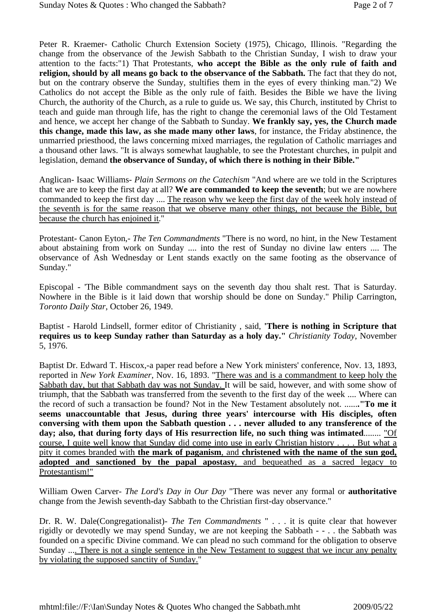Peter R. Kraemer- Catholic Church Extension Society (1975), Chicago, Illinois. "Regarding the change from the observance of the Jewish Sabbath to the Christian Sunday, I wish to draw your attention to the facts:"1) That Protestants, **who accept the Bible as the only rule of faith and religion, should by all means go back to the observance of the Sabbath.** The fact that they do not, but on the contrary observe the Sunday, stultifies them in the eyes of every thinking man."2) We Catholics do not accept the Bible as the only rule of faith. Besides the Bible we have the living Church, the authority of the Church, as a rule to guide us. We say, this Church, instituted by Christ to teach and guide man through life, has the right to change the ceremonial laws of the Old Testament and hence, we accept her change of the Sabbath to Sunday. **We frankly say, yes, the Church made this change, made this law, as she made many other laws**, for instance, the Friday abstinence, the unmarried priesthood, the laws concerning mixed marriages, the regulation of Catholic marriages and a thousand other laws. "It is always somewhat laughable, to see the Protestant churches, in pulpit and legislation, demand **the observance of Sunday, of which there is nothing in their Bible."**

Anglican- Isaac Williams- *Plain Sermons on the Catechism* "And where are we told in the Scriptures that we are to keep the first day at all? **We are commanded to keep the seventh**; but we are nowhere commanded to keep the first day .... The reason why we keep the first day of the week holy instead of the seventh is for the same reason that we observe many other things, not because the Bible, but because the church has enjoined it."

Protestant- Canon Eyton,- *The Ten Commandments* "There is no word, no hint, in the New Testament about abstaining from work on Sunday .... into the rest of Sunday no divine law enters .... The observance of Ash Wednesday or Lent stands exactly on the same footing as the observance of Sunday."

Episcopal - 'The Bible commandment says on the seventh day thou shalt rest. That is Saturday. Nowhere in the Bible is it laid down that worship should be done on Sunday." Philip Carrington, *Toronto Daily Star*, October 26, 1949.

Baptist - Harold Lindsell, former editor of Christianity , said, **'There is nothing in Scripture that requires us to keep Sunday rather than Saturday as a holy day."** *Christianity Today*, November 5, 1976.

Baptist Dr. Edward T. Hiscox,-a paper read before a New York ministers' conference, Nov. 13, 1893, reported in *New York Examiner*, Nov. 16, 1893. "There was and is a commandment to keep holy the Sabbath day, but that Sabbath day was not Sunday. It will be said, however, and with some show of triumph, that the Sabbath was transferred from the seventh to the first day of the week .... Where can the record of such a transaction be found? Not in the New Testament absolutely not. ......**."To me it seems unaccountable that Jesus, during three years' intercourse with His disciples, often conversing with them upon the Sabbath question . . . never alluded to any transference of the day; also, that during forty days of His resurrection life, no such thing was intimated**........ "Of course, I quite well know that Sunday did come into use in early Christian history . . . . But what a pity it comes branded with **the mark of paganism**, and **christened with the name of the sun god, adopted and sanctioned by the papal apostasy**, and bequeathed as a sacred legacy to Protestantism!"

William Owen Carver- *The Lord's Day in Our Day* "There was never any formal or **authoritative** change from the Jewish seventh-day Sabbath to the Christian first-day observance."

Dr. R. W. Dale(Congregationalist)- *The Ten Commandments* " . . . it is quite clear that however rigidly or devotedly we may spend Sunday, we are not keeping the Sabbath - - . . the Sabbath was founded on a specific Divine command. We can plead no such command for the obligation to observe Sunday .... There is not a single sentence in the New Testament to suggest that we incur any penalty by violating the supposed sanctity of Sunday."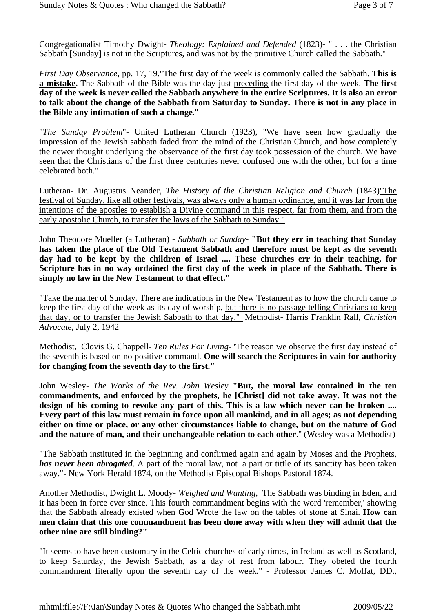Congregationalist Timothy Dwight- *Theology: Explained and Defended* (1823)- " . . . the Christian Sabbath [Sunday] is not in the Scriptures, and was not by the primitive Church called the Sabbath."

*First Day Observance*, pp. 17, 19."The first day of the week is commonly called the Sabbath. **This is a mistake.** The Sabbath of the Bible was the day just preceding the first day of the week. **The first day of the week is never called the Sabbath anywhere in the entire Scriptures. It is also an error to talk about the change of the Sabbath from Saturday to Sunday. There is not in any place in the Bible any intimation of such a change**."

"*The Sunday Problem*"- United Lutheran Church (1923), "We have seen how gradually the impression of the Jewish sabbath faded from the mind of the Christian Church, and how completely the newer thought underlying the observance of the first day took possession of the church. We have seen that the Christians of the first three centuries never confused one with the other, but for a time celebrated both."

Lutheran- Dr. Augustus Neander, *The History of the Christian Religion and Church* (1843)"The festival of Sunday, like all other festivals, was always only a human ordinance, and it was far from the intentions of the apostles to establish a Divine command in this respect, far from them, and from the early apostolic Church, to transfer the laws of the Sabbath to Sunday."

John Theodore Mueller (a Lutheran) - *Sabbath or Sunday*- **"But they err in teaching that Sunday has taken the place of the Old Testament Sabbath and therefore must be kept as the seventh day had to be kept by the children of Israel .... These churches err in their teaching, for Scripture has in no way ordained the first day of the week in place of the Sabbath. There is simply no law in the New Testament to that effect."**

"Take the matter of Sunday. There are indications in the New Testament as to how the church came to keep the first day of the week as its day of worship, but there is no passage telling Christians to keep that day, or to transfer the Jewish Sabbath to that day." Methodist- Harris Franklin Rall, *Christian Advocate*, July 2, 1942

Methodist, Clovis G. Chappell- *Ten Rules For Living*- 'The reason we observe the first day instead of the seventh is based on no positive command. **One will search the Scriptures in vain for authority for changing from the seventh day to the first."** 

John Wesley- *The Works of the Rev. John Wesley* **"But, the moral law contained in the ten commandments, and enforced by the prophets, he [Christ] did not take away. It was not the design of his coming to revoke any part of this. This is a law which never can be broken .... Every part of this law must remain in force upon all mankind, and in all ages; as not depending either on time or place, or any other circumstances liable to change, but on the nature of God and the nature of man, and their unchangeable relation to each other**." (Wesley was a Methodist)

"The Sabbath instituted in the beginning and confirmed again and again by Moses and the Prophets, *has never been abrogated*. A part of the moral law, not a part or tittle of its sanctity has been taken away."- New York Herald 1874, on the Methodist Episcopal Bishops Pastoral 1874.

Another Methodist, Dwight L. Moody- *Weighed and Wanting*, The Sabbath was binding in Eden, and it has been in force ever since. This fourth commandment begins with the word 'remember,' showing that the Sabbath already existed when God Wrote the law on the tables of stone at Sinai. **How can men claim that this one commandment has been done away with when they will admit that the other nine are still binding?"**

"It seems to have been customary in the Celtic churches of early times, in Ireland as well as Scotland, to keep Saturday, the Jewish Sabbath, as a day of rest from labour. They obeted the fourth commandment literally upon the seventh day of the week." - Professor James C. Moffat, DD.,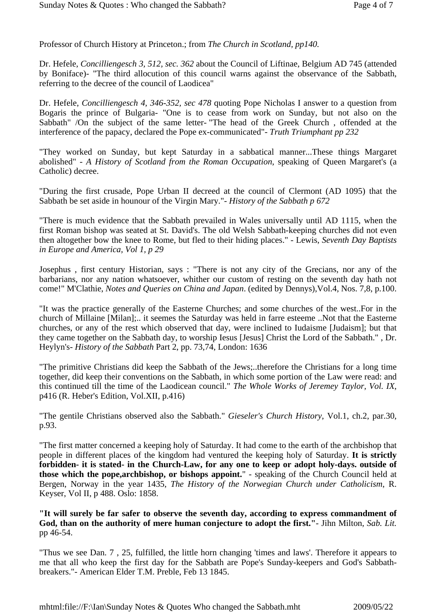Professor of Church History at Princeton.; from *The Church in Scotland, pp140.*

Dr. Hefele, *Concilliengesch 3, 512, sec. 362* about the Council of Liftinae, Belgium AD 745 (attended by Boniface)- "The third allocution of this council warns against the observance of the Sabbath, referring to the decree of the council of Laodicea"

Dr. Hefele, *Concilliengesch 4, 346-352, sec 478* quoting Pope Nicholas I answer to a question from Bogaris the prince of Bulgaria- "One is to cease from work on Sunday, but not also on the Sabbath" /On the subject of the same letter- "The head of the Greek Church , offended at the interference of the papacy, declared the Pope ex-communicated"- *Truth Triumphant pp 232*

"They worked on Sunday, but kept Saturday in a sabbatical manner...These things Margaret abolished" - *A History of Scotland from the Roman Occupation*, speaking of Queen Margaret's (a Catholic) decree.

"During the first crusade, Pope Urban II decreed at the council of Clermont (AD 1095) that the Sabbath be set aside in hounour of the Virgin Mary."- *History of the Sabbath p 672*

"There is much evidence that the Sabbath prevailed in Wales universally until AD 1115, when the first Roman bishop was seated at St. David's. The old Welsh Sabbath-keeping churches did not even then altogether bow the knee to Rome, but fled to their hiding places." - Lewis, *Seventh Day Baptists in Europe and America, Vol 1, p 29*

Josephus , first century Historian, says : "There is not any city of the Grecians, nor any of the barbarians, nor any nation whatsoever, whither our custom of resting on the seventh day hath not come!" M'Clathie, *Notes and Queries on China and Japan*. (edited by Dennys),Vol.4, Nos. 7,8, p.100.

"It was the practice generally of the Easterne Churches; and some churches of the west..For in the church of Millaine [Milan];.. it seemes the Saturday was held in farre esteeme ..Not that the Easterne churches, or any of the rest which observed that day, were inclined to Iudaisme [Judaism]; but that they came together on the Sabbath day, to worship Iesus [Jesus] Christ the Lord of the Sabbath." , Dr. Heylyn's- *History of the Sabbath* Part 2, pp. 73,74, London: 1636

"The primitive Christians did keep the Sabbath of the Jews;..therefore the Christians for a long time together, did keep their conventions on the Sabbath, in which some portion of the Law were read: and this continued till the time of the Laodicean council." *The Whole Works of Jeremey Taylor, Vol. IX*, p416 (R. Heber's Edition, Vol.XII, p.416)

"The gentile Christians observed also the Sabbath." *Gieseler's Church History*, Vol.1, ch.2, par.30, p.93.

"The first matter concerned a keeping holy of Saturday. It had come to the earth of the archbishop that people in different places of the kingdom had ventured the keeping holy of Saturday. **It is strictly forbidden- it is stated- in the Church-Law, for any one to keep or adopt holy-days. outside of those which the pope,archbishop, or bishops appoint.**" - speaking of the Church Council held at Bergen, Norway in the year 1435, *The History of the Norwegian Church under Catholicism*, R. Keyser, Vol II, p 488. Oslo: 1858.

**"It will surely be far safer to observe the seventh day, according to express commandment of God, than on the authority of mere human conjecture to adopt the first."**- Jihn Milton, *Sab. Lit.* pp 46-54.

"Thus we see Dan. 7 , 25, fulfilled, the little horn changing 'times and laws'. Therefore it appears to me that all who keep the first day for the Sabbath are Pope's Sunday-keepers and God's Sabbathbreakers."- American Elder T.M. Preble, Feb 13 1845.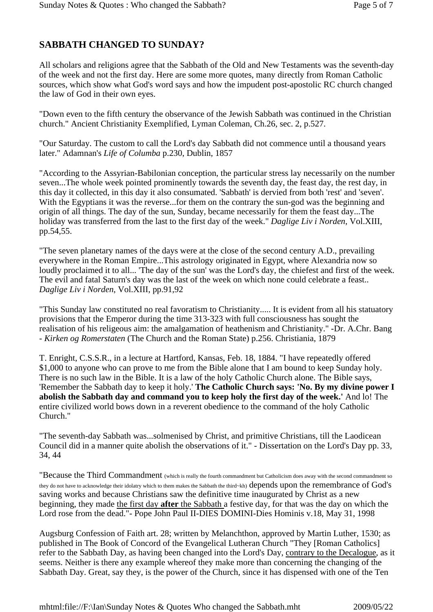## **SABBATH CHANGED TO SUNDAY?**

All scholars and religions agree that the Sabbath of the Old and New Testaments was the seventh-day of the week and not the first day. Here are some more quotes, many directly from Roman Catholic sources, which show what God's word says and how the impudent post-apostolic RC church changed the law of God in their own eyes.

"Down even to the fifth century the observance of the Jewish Sabbath was continued in the Christian church." Ancient Christianity Exemplified, Lyman Coleman, Ch.26, sec. 2, p.527.

"Our Saturday. The custom to call the Lord's day Sabbath did not commence until a thousand years later." Adamnan's *Life of Columba* p.230, Dublin, 1857

"According to the Assyrian-Babilonian conception, the particular stress lay necessarily on the number seven...The whole week pointed prominently towards the seventh day, the feast day, the rest day, in this day it collected, in this day it also consumated. 'Sabbath' is dervied from both 'rest' and 'seven'. With the Egyptians it was the reverse...for them on the contrary the sun-god was the beginning and origin of all things. The day of the sun, Sunday, became necessarily for them the feast day...The holiday was transferred from the last to the first day of the week." *Daglige Liv i Norden*, Vol.XIII, pp.54,55.

"The seven planetary names of the days were at the close of the second century A.D., prevailing everywhere in the Roman Empire...This astrology originated in Egypt, where Alexandria now so loudly proclaimed it to all... 'The day of the sun' was the Lord's day, the chiefest and first of the week. The evil and fatal Saturn's day was the last of the week on which none could celebrate a feast.. *Daglige Liv i Norden*, Vol.XIII, pp.91,92

"This Sunday law constituted no real favoratism to Christianity..... It is evident from all his statuatory provisions that the Emperor during the time 313-323 with full consciousness has sought the realisation of his religeous aim: the amalgamation of heathenism and Christianity." -Dr. A.Chr. Bang - *Kirken og Romerstaten* (The Church and the Roman State) p.256. Christiania, 1879

T. Enright, C.S.S.R., in a lecture at Hartford, Kansas, Feb. 18, 1884. "I have repeatedly offered \$1,000 to anyone who can prove to me from the Bible alone that I am bound to keep Sunday holy. There is no such law in the Bible. It is a law of the holy Catholic Church alone. The Bible says, 'Remember the Sabbath day to keep it holy.' **The Catholic Church says: 'No. By my divine power I abolish the Sabbath day and command you to keep holy the first day of the week.'** And lo! The entire civilized world bows down in a reverent obedience to the command of the holy Catholic Church."

"The seventh-day Sabbath was...solmenised by Christ, and primitive Christians, till the Laodicean Council did in a manner quite abolish the observations of it." - Dissertation on the Lord's Day pp. 33, 34, 44

"Because the Third Commandment (which is really the fourth commandment but Catholicism does away with the second commandment so they do not have to acknowledge their idolatry which to them makes the Sabbath the third~kh) depends upon the remembrance of God's saving works and because Christians saw the definitive time inaugurated by Christ as a new beginning, they made the first day **after** the Sabbath a festive day, for that was the day on which the Lord rose from the dead."- Pope John Paul II-DIES DOMINI-Dies Hominis v.18, May 31, 1998

Augsburg Confession of Faith art. 28; written by Melanchthon, approved by Martin Luther, 1530; as published in The Book of Concord of the Evangelical Lutheran Church "They [Roman Catholics] refer to the Sabbath Day, as having been changed into the Lord's Day, contrary to the Decalogue, as it seems. Neither is there any example whereof they make more than concerning the changing of the Sabbath Day. Great, say they, is the power of the Church, since it has dispensed with one of the Ten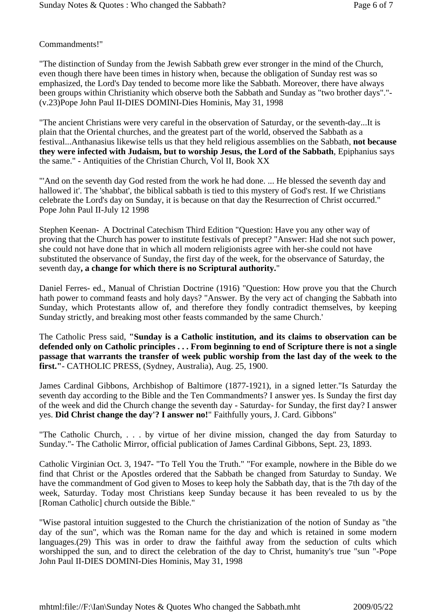## Commandments!"

"The distinction of Sunday from the Jewish Sabbath grew ever stronger in the mind of the Church, even though there have been times in history when, because the obligation of Sunday rest was so emphasized, the Lord's Day tended to become more like the Sabbath. Moreover, there have always been groups within Christianity which observe both the Sabbath and Sunday as "two brother days"."- (v.23)Pope John Paul II-DIES DOMINI-Dies Hominis, May 31, 1998

"The ancient Christians were very careful in the observation of Saturday, or the seventh-day...It is plain that the Oriental churches, and the greatest part of the world, observed the Sabbath as a festival...Anthanasius likewise tells us that they held religious assemblies on the Sabbath, **not because they were infected with Judaism, but to worship Jesus, the Lord of the Sabbath**, Epiphanius says the same." - Antiquities of the Christian Church, Vol II, Book XX

"'And on the seventh day God rested from the work he had done. ... He blessed the seventh day and hallowed it'. The 'shabbat', the biblical sabbath is tied to this mystery of God's rest. If we Christians celebrate the Lord's day on Sunday, it is because on that day the Resurrection of Christ occurred." Pope John Paul II-July 12 1998

Stephen Keenan- A Doctrinal Catechism Third Edition "Question: Have you any other way of proving that the Church has power to institute festivals of precept? "Answer: Had she not such power, she could not have done that in which all modern religionists agree with her-she could not have substituted the observance of Sunday, the first day of the week, for the observance of Saturday, the seventh day**, a change for which there is no Scriptural authority.**"

Daniel Ferres- ed., Manual of Christian Doctrine (1916) "Question: How prove you that the Church hath power to command feasts and holy days? "Answer. By the very act of changing the Sabbath into Sunday, which Protestants allow of, and therefore they fondly contradict themselves, by keeping Sunday strictly, and breaking most other feasts commanded by the same Church.'

The Catholic Press said, **"Sunday is a Catholic institution, and its claims to observation can be defended only on Catholic principles . . . From beginning to end of Scripture there is not a single passage that warrants the transfer of week public worship from the last day of the week to the first."**- CATHOLIC PRESS, (Sydney, Australia), Aug. 25, 1900.

James Cardinal Gibbons, Archbishop of Baltimore (1877-1921), in a signed letter."Is Saturday the seventh day according to the Bible and the Ten Commandments? I answer yes. Is Sunday the first day of the week and did the Church change the seventh day - Saturday- for Sunday, the first day? I answer yes. **Did Christ change the day'? I answer no!**" Faithfully yours, J. Card. Gibbons"

"The Catholic Church, . . . by virtue of her divine mission, changed the day from Saturday to Sunday."- The Catholic Mirror, official publication of James Cardinal Gibbons, Sept. 23, 1893.

Catholic Virginian Oct. 3, 1947- "To Tell You the Truth." "For example, nowhere in the Bible do we find that Christ or the Apostles ordered that the Sabbath be changed from Saturday to Sunday. We have the commandment of God given to Moses to keep holy the Sabbath day, that is the 7th day of the week, Saturday. Today most Christians keep Sunday because it has been revealed to us by the [Roman Catholic] church outside the Bible."

"Wise pastoral intuition suggested to the Church the christianization of the notion of Sunday as "the day of the sun", which was the Roman name for the day and which is retained in some modern languages.(29) This was in order to draw the faithful away from the seduction of cults which worshipped the sun, and to direct the celebration of the day to Christ, humanity's true "sun "-Pope John Paul II-DIES DOMINI-Dies Hominis, May 31, 1998